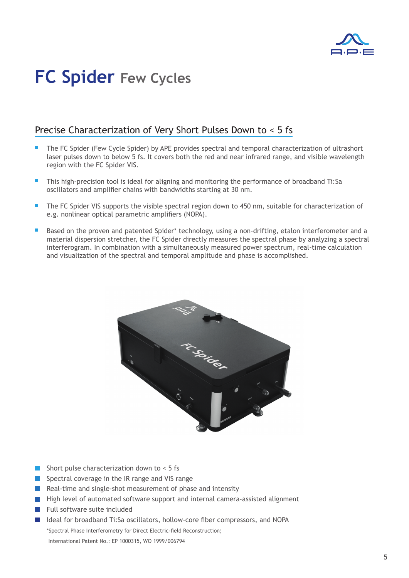

# **FC Spider Few Cycles**

### Precise Characterization of Very Short Pulses Down to < 5 fs

- The FC Spider (Few Cycle Spider) by APE provides spectral and temporal characterization of ultrashort laser pulses down to below 5 fs. It covers both the red and near infrared range, and visible wavelength region with the FC Spider VIS.
- This high-precision tool is ideal for aligning and monitoring the performance of broadband Ti:Sa oscillators and amplifier chains with bandwidths starting at 30 nm.
- $\blacksquare$ The FC Spider VIS supports the visible spectral region down to 450 nm, suitable for characterization of e.g. nonlinear optical parametric amplifiers (NOPA).
- Based on the proven and patented Spider\* technology, using a non-drifting, etalon interferometer and a material dispersion stretcher, the FC Spider directly measures the spectral phase by analyzing a spectral interferogram. In combination with a simultaneously measured power spectrum, real-time calculation and visualization of the spectral and temporal amplitude and phase is accomplished.



- Short pulse characterization down to < 5 fs
- Spectral coverage in the IR range and VIS range
- Real-time and single-shot measurement of phase and intensity
- High level of automated software support and internal camera-assisted alignment
- Full software suite included
- Ideal for broadband Ti:Sa oscillators, hollow-core fiber compressors, and NOPA \*Spectral Phase Interferometry for Direct Electric-field Reconstruction; International Patent No.: EP 1000315, WO 1999/006794

**5**